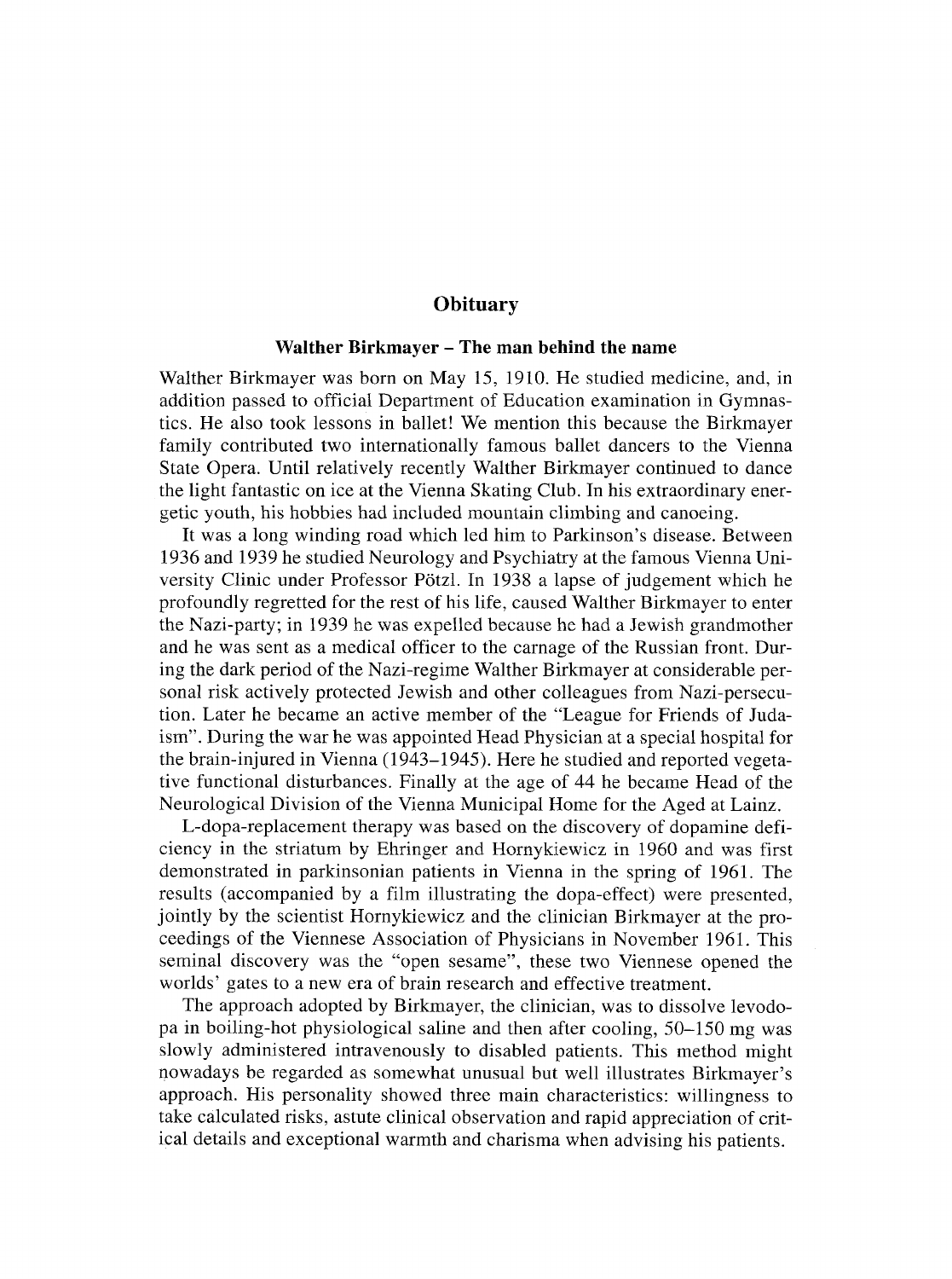# **Obituary**

### **Walther Birkmayer - The man behind the name**

Walther Birkmayer was born on May 15, 1910. He studied medicine, and, in addition passed to official Department of Education examination in Gymnastics. He also took lessons in ballet! We mention this because the Birkmayer family contributed two internationally famous ballet dancers to the Vienna State Opera. Until relatively recently Walther Birkmayer continued to dance the light fantastic on ice at the Vienna Skating Club. In his extraordinary energetic youth, his hobbies had included mountain climbing and canoeing.

It was a long winding road which led him to Parkinson's disease. Between 1936 and 1939 he studied Neurology and Psychiatry at the famous Vienna University Clinic under Professor P6tzl. In 1938 a lapse of judgement which he profoundly regretted for the rest of his life, caused Walther Birkmayer to enter the Nazi-party; in 1939 he was expelled because he had a Jewish grandmother and he was sent as a medical officer to the carnage of the Russian front. During the dark period of the Nazi-regime Walther Birkmayer at considerable personal risk actively protected Jewish and other colleagues from Nazi-persecution. Later he became an active member of the "League for Friends of Judaism". During the war he was appointed Head Physician at a special hospital for the brain-injured in Vienna (1943-1945). Here he studied and reported vegetative functional disturbances. Finally at the age of 44 he became Head of the Neurological Division of the Vienna Municipal Home for the Aged at Lainz.

L-dopa-replacement therapy was based on the discovery of dopamine deficiency in the striatum by Ehringer and Hornykiewicz in 1960 and was first demonstrated in parkinsonian patients in Vienna in the spring of 1961. The results (accompanied by a film illustrating the dopa-effect) were presented, jointly by the scientist Hornykiewicz and the clinician Birkmayer at the proceedings of the Viennese Association of Physicians in November 1961. This seminal discovery was the "open sesame", these two Viennese opened the worlds' gates to a new era of brain research and effective treatment.

The approach adopted by Birkmayer, the clinician, was to dissolve levodopa in boiling-hot physiological saline and then after cooling, 50-150 mg was slowly administered intravenously to disabled patients. This method might nowadays be regarded as somewhat unusual but well illustrates Birkmayer's approach. His personality showed three main characteristics: willingness to take calculated risks, astute clinical observation and rapid appreciation of critical details and exceptional warmth and charisma when advising his patients.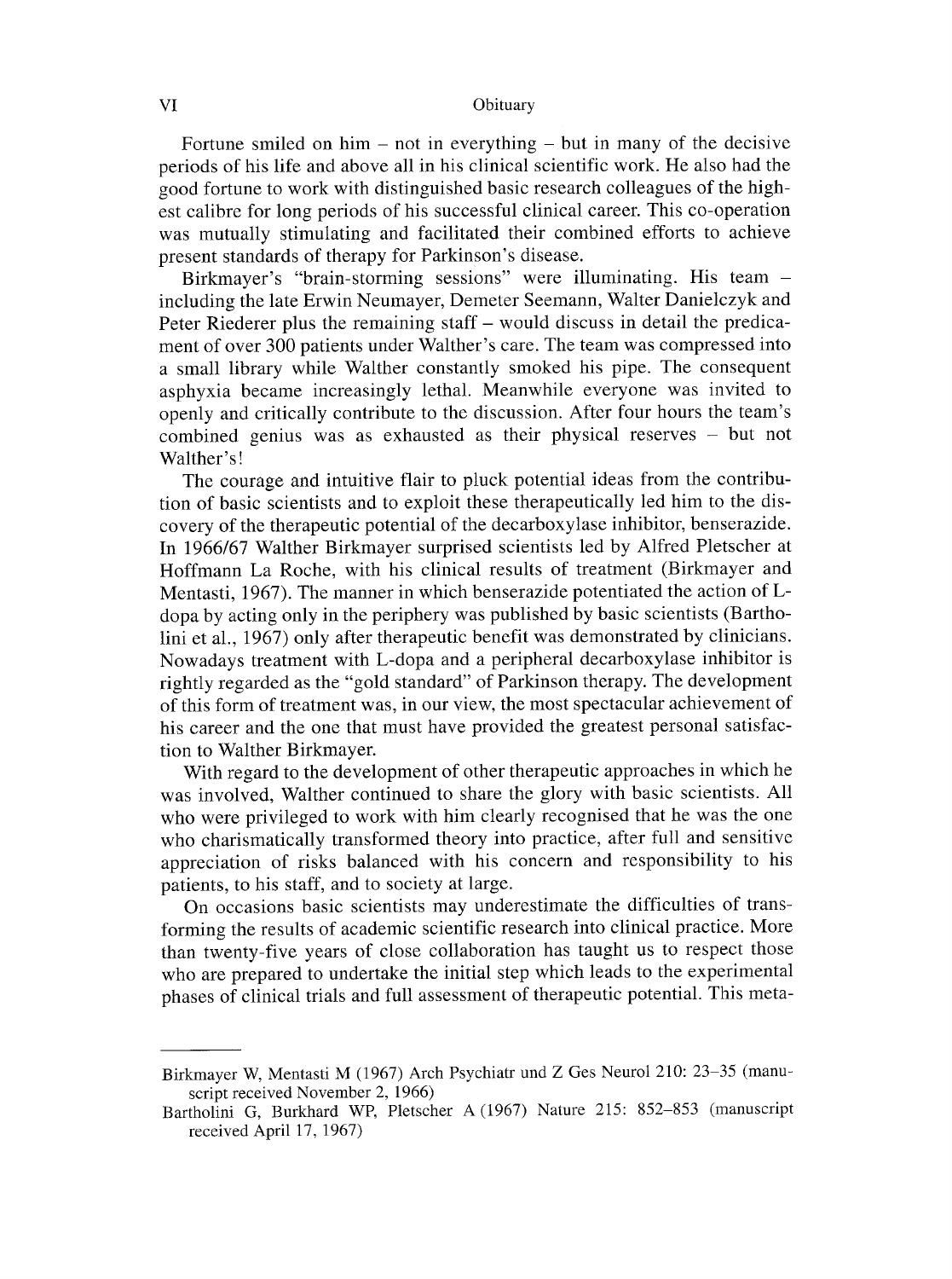#### VI Obituary

Fortune smiled on him – not in everything – but in many of the decisive periods of his life and above all in his clinical scientific work. He also had the good fortune to work with distinguished basic research colleagues of the highest calibre for long periods of his successful clinical career. This co-operation was mutually stimulating and facilitated their combined efforts to achieve present standards of therapy for Parkinson's disease.

Birkmayer's "brain-storming sessions" were illuminating. His team including the late Erwin Neumayer, Demeter Seemann, Walter Danielczyk and Peter Riederer plus the remaining staff – would discuss in detail the predicament of over 300 patients under Walther's care. The team was compressed into a small library while Walther constantly smoked his pipe. The consequent asphyxia became increasingly lethal. Meanwhile everyone was invited to openly and critically contribute to the discussion. After four hours the team's combined genius was as exhausted as their physical reserves - but not Walther's!

The courage and intuitive flair to pluck potential ideas from the contribution of basic scientists and to exploit these therapeutically led him to the discovery of the therapeutic potential of the decarboxylase inhibitor, benserazide. In 1966/67 Walther Birkmayer surprised scientists led by Alfred Pletscher at Hoffmann La Roche, with his clinical results of treatment (Birkmayer and Mentasti, 1967). The manner in which benserazide potentiated the action of Ldopa by acting only in the periphery was published by basic scientists (Bartholini et al., 1967) only after therapeutic benefit was demonstrated by clinicians. Nowadays treatment with L-dopa and a peripheral decarboxylase inhibitor is rightly regarded as the "gold standard" of Parkinson therapy. The development of this form of treatment was, in our view, the most spectacular achievement of his career and the one that must have provided the greatest personal satisfaction to Walther Birkmayer.

With regard to the development of other therapeutic approaches in which he was involved, Walther continued to share the glory with basic scientists. All who were privileged to work with him clearly recognised that he was the one who charismatically transformed theory into practice, after full and sensitive appreciation of risks balanced with his concern and responsibility to his patients, to his staff, and to society at large.

On occasions basic scientists may underestimate the difficulties of transforming the results of academic scientific research into clinical practice. More than twenty-five years of close collaboration has taught us to respect those who are prepared to undertake the initial step which leads to the experimental phases of clinical trials and full assessment of therapeutic potential. This meta-

Birkmayer W, Mentasti M (1967) Arch Psychiatr und Z Ges Neurol 210:23-35 (manuscript received November 2, 1966)

Bartholini G, Burkhard WP, Pletscher A (1967) Nature 215: 852-853 (manuscript received April 17, 1967)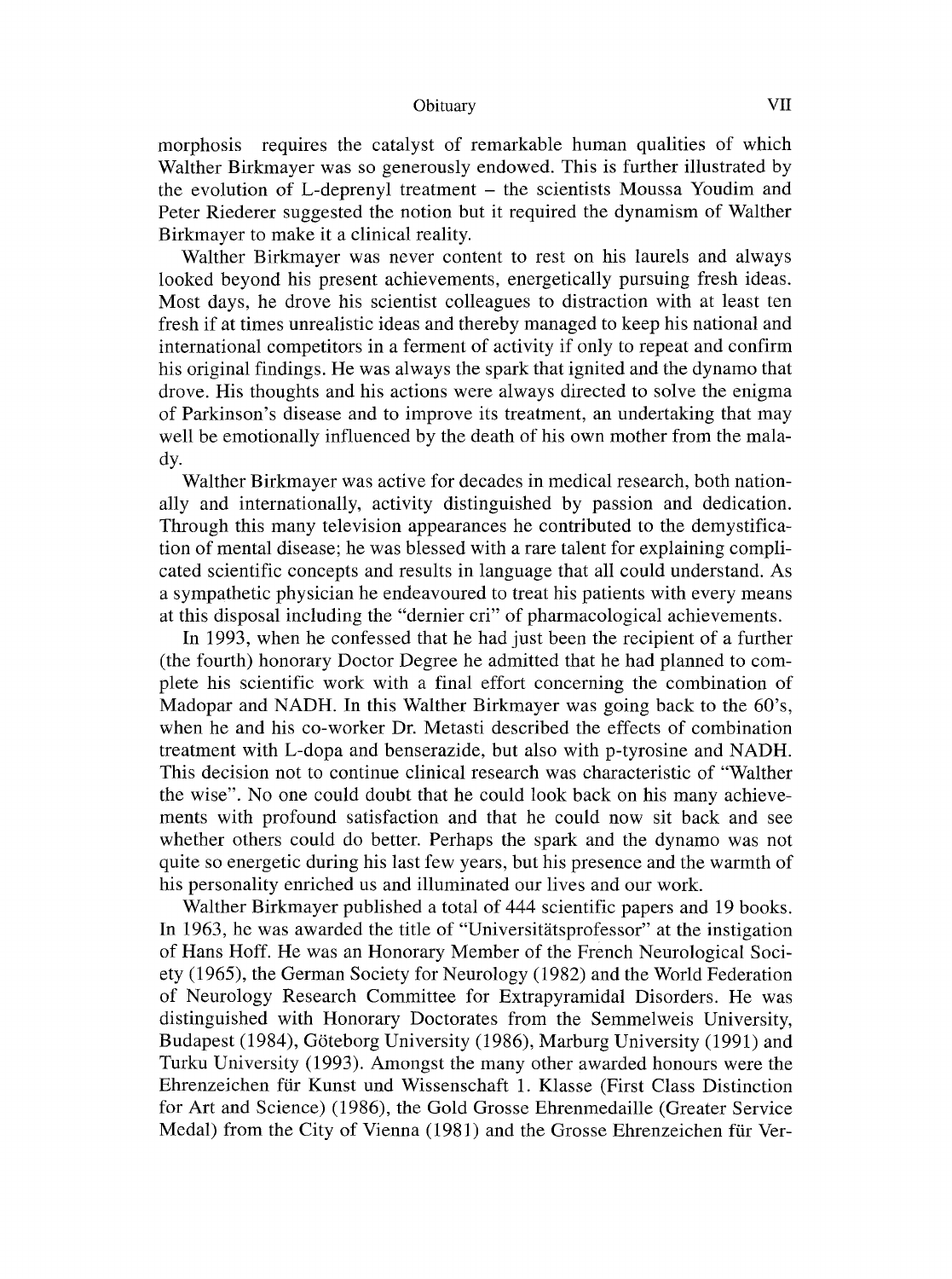#### Obituary **VII**

morphosis requires the catalyst of remarkable human qualities of which Walther Birkmayer was so generously endowed. This is further illustrated by the evolution of L-deprenyl treatment - the scientists Moussa Youdim and Peter Riederer suggested the notion but it required the dynamism of Walther Birkmayer to make it a clinical reality.

Walther Birkmayer was never content to rest on his laurels and always looked beyond his present achievements, energetically pursuing fresh ideas. Most days, he drove his scientist colleagues to distraction with at least ten fresh if at times unrealistic ideas and thereby managed to keep his national and international competitors in a ferment of activity if only to repeat and confirm his original findings. He was always the spark that ignited and the dynamo that drove. His thoughts and his actions were always directed to solve the enigma of Parkinson's disease and to improve its treatment, an undertaking that may well be emotionally influenced by the death of his own mother from the malady.

Walther Birkmayer was active for decades in medical research, both nationally and internationally, activity distinguished by passion and dedication. Through this many television appearances he contributed to the demystification of mental disease; he was blessed with a rare talent for explaining complicated scientific concepts and results in language that all could understand. As a sympathetic physician he endeavoured to treat his patients with every means at this disposal including the "dernier cri" of pharmacological achievements.

In 1993, when he confessed that he had just been the recipient of a further (the fourth) honorary Doctor Degree he admitted that he had planned to complete his scientific work with a final effort concerning the combination of Madopar and NADH. In this Walther Birkmayer was going back to the 60's, when he and his co-worker Dr. Metasti described the effects of combination treatment with L-dopa and benserazide, but also with p-tyrosine and NADH. This decision not to continue clinical research was characteristic of "Walther the wise". No one could doubt that he could look back on his many achievements with profound satisfaction and that he could now sit back and see whether others could do better. Perhaps the spark and the dynamo was not quite so energetic during his last few years, but his presence and the warmth of his personality enriched us and illuminated our lives and our work.

Walther Birkmayer published a total of 444 scientific papers and 19 books. In 1963, he was awarded the title of "Universitätsprofessor" at the instigation of Hans Hoff. He was an Honorary Member of the French Neurological Society (1965), the German Society for Neurology (1982) and the World Federation of Neurology Research Committee for Extrapyramidal Disorders. He was distinguished with Honorary Doctorates from the Semmelweis University, Budapest (1984), Göteborg University (1986), Marburg University (1991) and Turku University (1993). Amongst the many other awarded honours were the Ehrenzeichen für Kunst und Wissenschaft 1. Klasse (First Class Distinction for Art and Science) (1986), the Gold Grosse Ehrenmedaille (Greater Service Medal) from the City of Vienna (1981) and the Grosse Ehrenzeichen für Ver